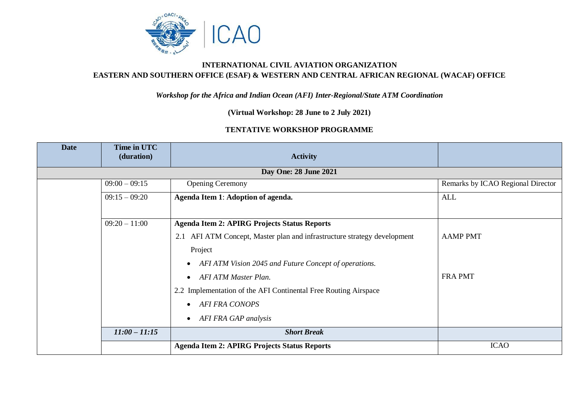

## **INTERNATIONAL CIVIL AVIATION ORGANIZATION EASTERN AND SOUTHERN OFFICE (ESAF) & WESTERN AND CENTRAL AFRICAN REGIONAL (WACAF) OFFICE**

## *Workshop for the Africa and Indian Ocean (AFI) Inter-Regional/State ATM Coordination*

**(Virtual Workshop: 28 June to 2 July 2021)**

## **TENTATIVE WORKSHOP PROGRAMME**

| <b>Date</b> | Time in UTC<br>(duration) | <b>Activity</b>                                                          |                                   |  |  |  |  |
|-------------|---------------------------|--------------------------------------------------------------------------|-----------------------------------|--|--|--|--|
|             | Day One: 28 June 2021     |                                                                          |                                   |  |  |  |  |
|             | $09:00 - 09:15$           | <b>Opening Ceremony</b>                                                  | Remarks by ICAO Regional Director |  |  |  |  |
|             | $09:15 - 09:20$           | Agenda Item 1: Adoption of agenda.                                       | <b>ALL</b>                        |  |  |  |  |
|             | $09:20 - 11:00$           | <b>Agenda Item 2: APIRG Projects Status Reports</b>                      |                                   |  |  |  |  |
|             |                           | 2.1 AFI ATM Concept, Master plan and infrastructure strategy development | <b>AAMP PMT</b>                   |  |  |  |  |
|             |                           | Project                                                                  |                                   |  |  |  |  |
|             |                           | AFI ATM Vision 2045 and Future Concept of operations.<br>$\bullet$       |                                   |  |  |  |  |
|             |                           | <b>AFI ATM Master Plan.</b><br>$\bullet$                                 | <b>FRA PMT</b>                    |  |  |  |  |
|             |                           | 2.2 Implementation of the AFI Continental Free Routing Airspace          |                                   |  |  |  |  |
|             |                           | <b>AFI FRA CONOPS</b><br>$\bullet$                                       |                                   |  |  |  |  |
|             |                           | AFI FRA GAP analysis<br>$\bullet$                                        |                                   |  |  |  |  |
|             | $11:00 - 11:15$           | <b>Short Break</b>                                                       |                                   |  |  |  |  |
|             |                           | <b>Agenda Item 2: APIRG Projects Status Reports</b>                      | <b>ICAO</b>                       |  |  |  |  |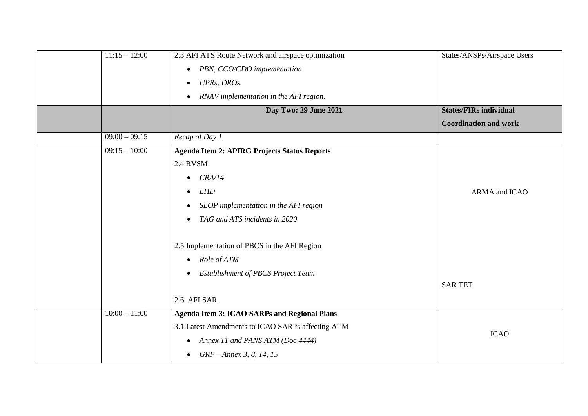| $11:15 - 12:00$ | 2.3 AFI ATS Route Network and airspace optimization    | States/ANSPs/Airspace Users   |
|-----------------|--------------------------------------------------------|-------------------------------|
|                 | PBN, CCO/CDO implementation<br>$\bullet$               |                               |
|                 | UPRs, DROs,<br>$\bullet$                               |                               |
|                 | RNAV implementation in the AFI region.<br>$\bullet$    |                               |
|                 | Day Two: 29 June 2021                                  | <b>States/FIRs individual</b> |
|                 |                                                        | <b>Coordination and work</b>  |
| $09:00 - 09:15$ | Recap of Day 1                                         |                               |
| $09:15 - 10:00$ | <b>Agenda Item 2: APIRG Projects Status Reports</b>    |                               |
|                 | 2.4 RVSM                                               |                               |
|                 | CRA/14<br>$\bullet$                                    |                               |
|                 | LHD<br>$\bullet$                                       | ARMA and ICAO                 |
|                 | SLOP implementation in the AFI region<br>$\bullet$     |                               |
|                 | TAG and ATS incidents in 2020<br>$\bullet$             |                               |
|                 | 2.5 Implementation of PBCS in the AFI Region           |                               |
|                 | Role of ATM<br>$\bullet$                               |                               |
|                 | <b>Establishment of PBCS Project Team</b><br>$\bullet$ |                               |
|                 |                                                        | <b>SAR TET</b>                |
|                 | 2.6 AFI SAR                                            |                               |
| $10:00 - 11:00$ | <b>Agenda Item 3: ICAO SARPs and Regional Plans</b>    |                               |
|                 | 3.1 Latest Amendments to ICAO SARPs affecting ATM      |                               |
|                 | Annex 11 and PANS ATM (Doc 4444)<br>$\bullet$          | <b>ICAO</b>                   |
|                 | GRF – Annex 3, 8, 14, 15<br>$\bullet$                  |                               |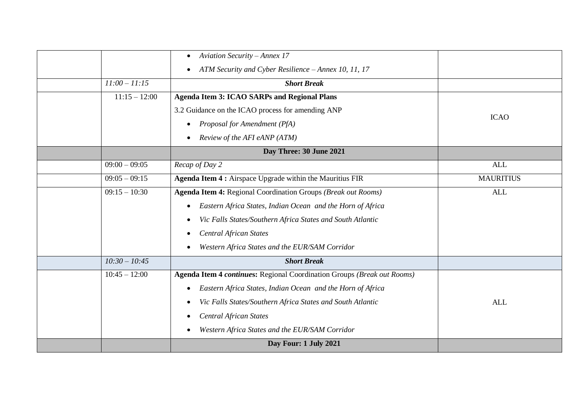|                 | <b>Aviation Security - Annex 17</b><br>$\bullet$                        |                  |
|-----------------|-------------------------------------------------------------------------|------------------|
|                 | ATM Security and Cyber Resilience - Annex 10, 11, 17<br>$\bullet$       |                  |
| $11:00 - 11:15$ | <b>Short Break</b>                                                      |                  |
| $11:15 - 12:00$ | <b>Agenda Item 3: ICAO SARPs and Regional Plans</b>                     |                  |
|                 | 3.2 Guidance on the ICAO process for amending ANP                       | <b>ICAO</b>      |
|                 | Proposal for Amendment (PfA)<br>$\bullet$                               |                  |
|                 | Review of the AFI eANP (ATM)<br>$\bullet$                               |                  |
|                 | Day Three: 30 June 2021                                                 |                  |
| $09:00 - 09:05$ | Recap of Day 2                                                          | <b>ALL</b>       |
| $09:05 - 09:15$ | Agenda Item 4 : Airspace Upgrade within the Mauritius FIR               | <b>MAURITIUS</b> |
| $09:15 - 10:30$ | Agenda Item 4: Regional Coordination Groups (Break out Rooms)           | <b>ALL</b>       |
|                 | Eastern Africa States, Indian Ocean and the Horn of Africa<br>$\bullet$ |                  |
|                 | Vic Falls States/Southern Africa States and South Atlantic<br>$\bullet$ |                  |
|                 | <b>Central African States</b><br>$\bullet$                              |                  |
|                 | Western Africa States and the EUR/SAM Corridor<br>$\bullet$             |                  |
| $10:30 - 10:45$ | <b>Short Break</b>                                                      |                  |
| $10:45 - 12:00$ | Agenda Item 4 continues: Regional Coordination Groups (Break out Rooms) |                  |
|                 | Eastern Africa States, Indian Ocean and the Horn of Africa<br>$\bullet$ |                  |
|                 | Vic Falls States/Southern Africa States and South Atlantic<br>$\bullet$ | <b>ALL</b>       |
|                 | <b>Central African States</b><br>$\bullet$                              |                  |
|                 | Western Africa States and the EUR/SAM Corridor<br>$\bullet$             |                  |
|                 | Day Four: 1 July 2021                                                   |                  |